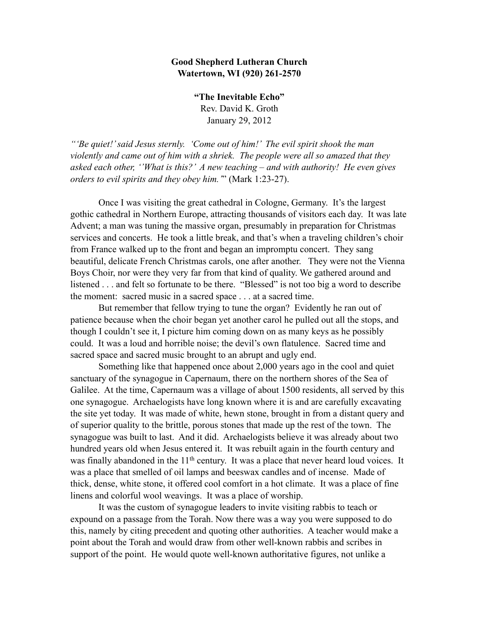## **Good Shepherd Lutheran Church Watertown, WI (920) 261-2570**

 **"The Inevitable Echo"** Rev. David K. Groth January 29, 2012

*"'Be quiet!' said Jesus sternly. 'Come out of him!' The evil spirit shook the man violently and came out of him with a shriek. The people were all so amazed that they asked each other, ''What is this?' A new teaching – and with authority! He even gives orders to evil spirits and they obey him.'*" (Mark 1:23-27).

Once I was visiting the great cathedral in Cologne, Germany. It's the largest gothic cathedral in Northern Europe, attracting thousands of visitors each day. It was late Advent; a man was tuning the massive organ, presumably in preparation for Christmas services and concerts. He took a little break, and that's when a traveling children's choir from France walked up to the front and began an impromptu concert. They sang beautiful, delicate French Christmas carols, one after another. They were not the Vienna Boys Choir, nor were they very far from that kind of quality. We gathered around and listened . . . and felt so fortunate to be there. "Blessed" is not too big a word to describe the moment: sacred music in a sacred space . . . at a sacred time.

But remember that fellow trying to tune the organ? Evidently he ran out of patience because when the choir began yet another carol he pulled out all the stops, and though I couldn't see it, I picture him coming down on as many keys as he possibly could. It was a loud and horrible noise; the devil's own flatulence. Sacred time and sacred space and sacred music brought to an abrupt and ugly end.

Something like that happened once about 2,000 years ago in the cool and quiet sanctuary of the synagogue in Capernaum, there on the northern shores of the Sea of Galilee. At the time, Capernaum was a village of about 1500 residents, all served by this one synagogue. Archaelogists have long known where it is and are carefully excavating the site yet today. It was made of white, hewn stone, brought in from a distant query and of superior quality to the brittle, porous stones that made up the rest of the town. The synagogue was built to last. And it did. Archaelogists believe it was already about two hundred years old when Jesus entered it. It was rebuilt again in the fourth century and was finally abandoned in the 11<sup>th</sup> century. It was a place that never heard loud voices. It was a place that smelled of oil lamps and beeswax candles and of incense. Made of thick, dense, white stone, it offered cool comfort in a hot climate. It was a place of fine linens and colorful wool weavings. It was a place of worship.

It was the custom of synagogue leaders to invite visiting rabbis to teach or expound on a passage from the Torah. Now there was a way you were supposed to do this, namely by citing precedent and quoting other authorities. A teacher would make a point about the Torah and would draw from other well-known rabbis and scribes in support of the point. He would quote well-known authoritative figures, not unlike a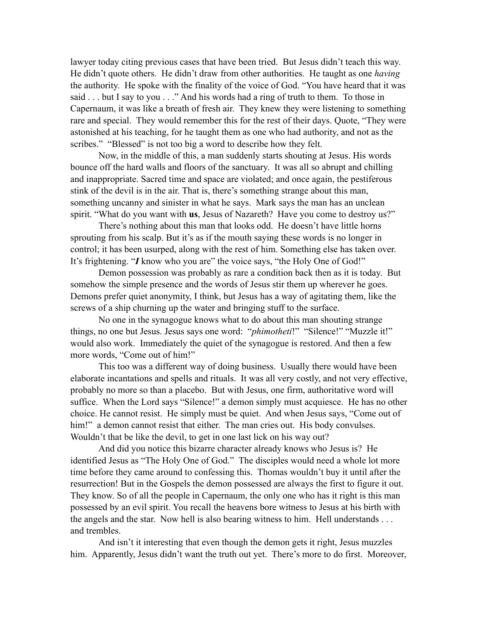lawyer today citing previous cases that have been tried. But Jesus didn't teach this way. He didn't quote others. He didn't draw from other authorities. He taught as one *having* the authority. He spoke with the finality of the voice of God. "You have heard that it was said . . . but I say to you . . ." And his words had a ring of truth to them. To those in Capernaum, it was like a breath of fresh air. They knew they were listening to something rare and special. They would remember this for the rest of their days. Quote, "They were astonished at his teaching, for he taught them as one who had authority, and not as the scribes." "Blessed" is not too big a word to describe how they felt.

Now, in the middle of this, a man suddenly starts shouting at Jesus. His words bounce off the hard walls and floors of the sanctuary. It was all so abrupt and chilling and inappropriate. Sacred time and space are violated; and once again, the pestiferous stink of the devil is in the air. That is, there's something strange about this man, something uncanny and sinister in what he says. Mark says the man has an unclean spirit. "What do you want with **us**, Jesus of Nazareth? Have you come to destroy us?"

There's nothing about this man that looks odd. He doesn't have little horns sprouting from his scalp. But it's as if the mouth saying these words is no longer in control; it has been usurped, along with the rest of him. Something else has taken over. It's frightening. "*I* know who you are" the voice says, "the Holy One of God!"

Demon possession was probably as rare a condition back then as it is today. But somehow the simple presence and the words of Jesus stir them up wherever he goes. Demons prefer quiet anonymity, I think, but Jesus has a way of agitating them, like the screws of a ship churning up the water and bringing stuff to the surface.

No one in the synagogue knows what to do about this man shouting strange things, no one but Jesus. Jesus says one word: "*phimotheti*!" "Silence!" "Muzzle it!" would also work. Immediately the quiet of the synagogue is restored. And then a few more words, "Come out of him!"

This too was a different way of doing business. Usually there would have been elaborate incantations and spells and rituals. It was all very costly, and not very effective, probably no more so than a placebo. But with Jesus, one firm, authoritative word will suffice. When the Lord says "Silence!" a demon simply must acquiesce. He has no other choice. He cannot resist. He simply must be quiet. And when Jesus says, "Come out of him!" a demon cannot resist that either. The man cries out. His body convulses. Wouldn't that be like the devil, to get in one last lick on his way out?

And did you notice this bizarre character already knows who Jesus is? He identified Jesus as "The Holy One of God." The disciples would need a whole lot more time before they came around to confessing this. Thomas wouldn't buy it until after the resurrection! But in the Gospels the demon possessed are always the first to figure it out. They know. So of all the people in Capernaum, the only one who has it right is this man possessed by an evil spirit. You recall the heavens bore witness to Jesus at his birth with the angels and the star. Now hell is also bearing witness to him. Hell understands . . . and trembles.

And isn't it interesting that even though the demon gets it right, Jesus muzzles him. Apparently, Jesus didn't want the truth out yet. There's more to do first. Moreover,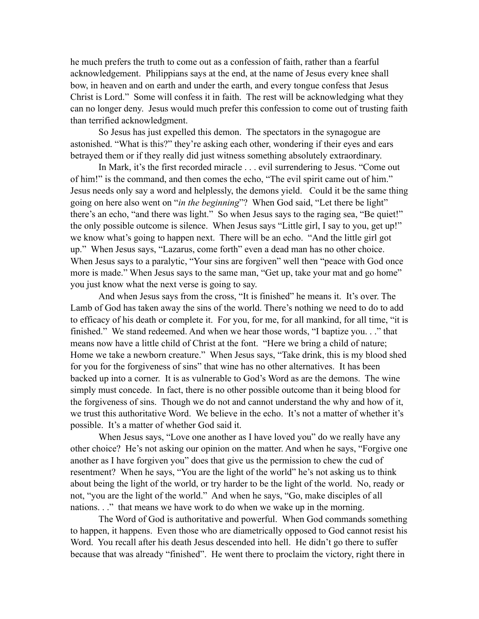he much prefers the truth to come out as a confession of faith, rather than a fearful acknowledgement. Philippians says at the end, at the name of Jesus every knee shall bow, in heaven and on earth and under the earth, and every tongue confess that Jesus Christ is Lord." Some will confess it in faith. The rest will be acknowledging what they can no longer deny. Jesus would much prefer this confession to come out of trusting faith than terrified acknowledgment.

So Jesus has just expelled this demon. The spectators in the synagogue are astonished. "What is this?" they're asking each other, wondering if their eyes and ears betrayed them or if they really did just witness something absolutely extraordinary.

In Mark, it's the first recorded miracle . . . evil surrendering to Jesus. "Come out of him!" is the command, and then comes the echo, "The evil spirit came out of him." Jesus needs only say a word and helplessly, the demons yield. Could it be the same thing going on here also went on "*in the beginning*"? When God said, "Let there be light" there's an echo, "and there was light." So when Jesus says to the raging sea, "Be quiet!" the only possible outcome is silence. When Jesus says "Little girl, I say to you, get up!" we know what's going to happen next. There will be an echo. "And the little girl got up." When Jesus says, "Lazarus, come forth" even a dead man has no other choice. When Jesus says to a paralytic, "Your sins are forgiven" well then "peace with God once more is made." When Jesus says to the same man, "Get up, take your mat and go home" you just know what the next verse is going to say.

And when Jesus says from the cross, "It is finished" he means it. It's over. The Lamb of God has taken away the sins of the world. There's nothing we need to do to add to efficacy of his death or complete it. For you, for me, for all mankind, for all time, "it is finished." We stand redeemed. And when we hear those words, "I baptize you. . ." that means now have a little child of Christ at the font. "Here we bring a child of nature; Home we take a newborn creature." When Jesus says, "Take drink, this is my blood shed for you for the forgiveness of sins" that wine has no other alternatives. It has been backed up into a corner. It is as vulnerable to God's Word as are the demons. The wine simply must concede. In fact, there is no other possible outcome than it being blood for the forgiveness of sins. Though we do not and cannot understand the why and how of it, we trust this authoritative Word. We believe in the echo. It's not a matter of whether it's possible. It's a matter of whether God said it.

When Jesus says, "Love one another as I have loved you" do we really have any other choice? He's not asking our opinion on the matter. And when he says, "Forgive one another as I have forgiven you" does that give us the permission to chew the cud of resentment? When he says, "You are the light of the world" he's not asking us to think about being the light of the world, or try harder to be the light of the world. No, ready or not, "you are the light of the world." And when he says, "Go, make disciples of all nations. . ." that means we have work to do when we wake up in the morning.

The Word of God is authoritative and powerful. When God commands something to happen, it happens. Even those who are diametrically opposed to God cannot resist his Word. You recall after his death Jesus descended into hell. He didn't go there to suffer because that was already "finished". He went there to proclaim the victory, right there in